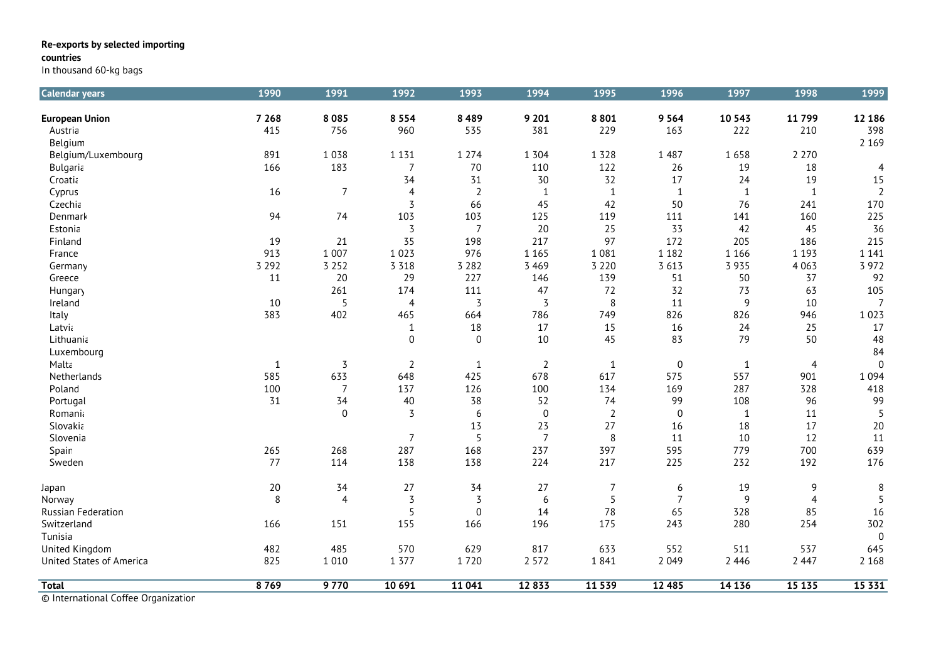# **Re-exports by selected importing**

### **countries**

In thousand 60-kg bags

| <b>Calendar years</b>     | 1990    | 1991           | 1992           | 1993             | 1994           | 1995           | 1996             | 1997         | 1998           | 1999           |
|---------------------------|---------|----------------|----------------|------------------|----------------|----------------|------------------|--------------|----------------|----------------|
| <b>European Union</b>     | 7 2 6 8 | 8085           | 8 5 5 4        | 8489             | 9 2 0 1        | 8 8 0 1        | 9 5 6 4          | 10 5 4 3     | 11799          | 12 18 6        |
| Austria                   | 415     | 756            | 960            | 535              | 381            | 229            | 163              | 222          | 210            | 398            |
| Belgium                   |         |                |                |                  |                |                |                  |              |                | 2 1 6 9        |
| Belgium/Luxembourg        | 891     | 1 0 3 8        | 1 1 3 1        | 1 2 7 4          | 1 3 0 4        | 1 3 2 8        | 1 4 8 7          | 1658         | 2 2 7 0        |                |
| Bulgaria                  | 166     | 183            | $\overline{7}$ | 70               | 110            | 122            | 26               | 19           | 18             | $\overline{4}$ |
| Croatia                   |         |                | 34             | 31               | 30             | 32             | 17               | 24           | 19             | 15             |
| Cyprus                    | 16      | $\overline{7}$ | $\overline{4}$ | $\overline{2}$   | 1              | $\mathbf{1}$   | $\mathbf{1}$     | $\mathbf{1}$ | $\mathbf{1}$   | $\overline{2}$ |
| Czechia                   |         |                | 3              | 66               | 45             | 42             | 50               | 76           | 241            | 170            |
| Denmark                   | 94      | 74             | 103            | 103              | 125            | 119            | 111              | 141          | 160            | 225            |
| Estonia                   |         |                | $\overline{3}$ | $\overline{7}$   | 20             | 25             | 33               | 42           | 45             | 36             |
| Finland                   | 19      | 21             | 35             | 198              | 217            | 97             | 172              | 205          | 186            | 215            |
| France                    | 913     | 1 0 0 7        | 1 0 2 3        | 976              | 1 1 6 5        | 1 0 8 1        | 1 1 8 2          | 1 1 6 6      | 1 1 9 3        | 1 1 4 1        |
| Germany                   | 3 2 9 2 | 3 2 5 2        | 3 3 1 8        | 3 2 8 2          | 3 4 6 9        | 3 2 2 0        | 3 6 1 3          | 3 9 3 5      | 4 0 6 3        | 3 9 7 2        |
| Greece                    | 11      | 20             | 29             | 227              | 146            | 139            | 51               | 50           | 37             | 92             |
| <b>Hungary</b>            |         | 261            | 174            | 111              | 47             | 72             | 32               | 73           | 63             | 105            |
| Ireland                   | 10      | 5              | $\overline{4}$ | $\overline{3}$   | $\overline{3}$ | $\,8\,$        | 11               | 9            | 10             | $\overline{7}$ |
| Italy                     | 383     | 402            | 465            | 664              | 786            | 749            | 826              | 826          | 946            | 1 0 2 3        |
| Latvia                    |         |                | $\mathbf{1}$   | 18               | 17             | 15             | 16               | 24           | 25             | 17             |
| Lithuania                 |         |                | $\Omega$       | $\Omega$         | 10             | 45             | 83               | 79           | 50             | 48             |
| Luxembourg                |         |                |                |                  |                |                |                  |              |                | 84             |
| Malta                     | 1       | 3              | $\overline{2}$ | $\mathbf{1}$     | $\overline{2}$ | $\mathbf{1}$   | $\boldsymbol{0}$ | $\mathbf{1}$ | $\overline{4}$ | $\mathbf 0$    |
| Netherlands               | 585     | 633            | 648            | 425              | 678            | 617            | 575              | 557          | 901            | 1 0 9 4        |
| Poland                    | 100     | $\overline{7}$ | 137            | 126              | 100            | 134            | 169              | 287          | 328            | 418            |
| Portugal                  | 31      | 34             | $40\,$         | 38               | 52             | 74             | 99               | 108          | 96             | 99             |
| Romania                   |         | $\mathbf 0$    | 3              | 6                | $\mathbf 0$    | $\overline{2}$ | $\boldsymbol{0}$ | $\mathbf{1}$ | 11             | 5              |
| Slovakia                  |         |                |                | 13               | 23             | 27             | 16               | 18           | 17             | 20             |
| Slovenia                  |         |                | $\overline{7}$ | 5                | $\overline{7}$ | $\,8\,$        | 11               | 10           | 12             | 11             |
| Spain                     | 265     | 268            | 287            | 168              | 237            | 397            | 595              | 779          | 700            | 639            |
| Sweden                    | 77      | 114            | 138            | 138              | 224            | 217            | 225              | 232          | 192            | 176            |
| Japan                     | $20\,$  | 34             | 27             | 34               | 27             | $\overline{7}$ | 6                | 19           | 9              | 8              |
| Norway                    | 8       | $\overline{4}$ | $\overline{3}$ | $\overline{3}$   | 6              | 5              | $\overline{7}$   | 9            | $\overline{4}$ | 5              |
| <b>Russian Federation</b> |         |                | 5              | $\boldsymbol{0}$ | 14             | 78             | 65               | 328          | 85             | 16             |
| Switzerland               | 166     | 151            | 155            | 166              | 196            | 175            | 243              | 280          | 254            | 302            |
| Tunisia                   |         |                |                |                  |                |                |                  |              |                | $\mathbf 0$    |
| United Kingdom            | 482     | 485            | 570            | 629              | 817            | 633            | 552              | 511          | 537            | 645            |
| United States of America  | 825     | 1 0 1 0        | 1 3 7 7        | 1720             | 2 5 7 2        | 1841           | 2 0 4 9          | 2 4 4 6      | 2 4 4 7        | 2 1 6 8        |
| <b>Total</b>              | 8769    | 9770           | 10 691         | 11 041           | 12833          | 11 539         | 12 4 8 5         | 14 1 36      | 15 135         | 15 3 3 1       |
| $\overline{\phantom{a}}$  |         |                |                |                  |                |                |                  |              |                |                |

© International Coffee Organization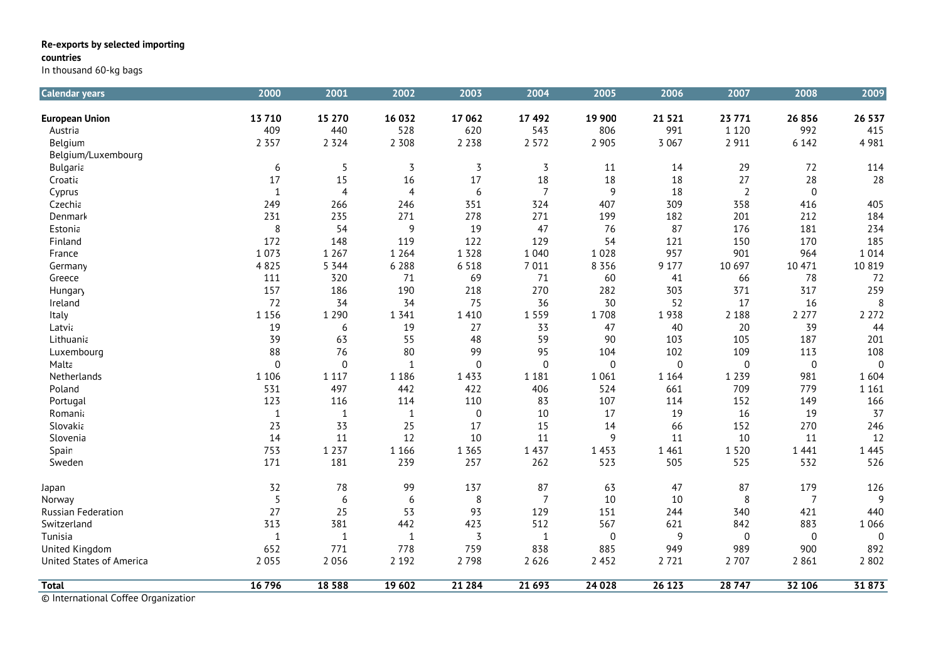# **Re-exports by selected importing**

### **countries**

In thousand 60-kg bags

| 13710<br>15 270<br>16 032<br>17 062<br>17492<br>19 900<br>21 5 21<br>23771<br><b>European Union</b><br>409<br>440<br>528<br>991<br>620<br>543<br>806<br>1 1 2 0<br>Austria<br>2 3 5 7<br>2 3 2 4<br>2 3 0 8<br>2 2 3 8<br>2 5 7 2<br>2 9 0 5<br>3 0 6 7<br>2 9 1 1<br>Belgium<br>Belgium/Luxembourg<br>5<br>3<br>3<br>3<br>11<br>29<br>6<br>14<br>Bulgaria<br>18<br>18<br>27<br>17<br>15<br>17<br>18<br>Croatia<br>16<br>$\overline{7}$<br>9<br>18<br>$\overline{2}$<br>$\mathbf{1}$<br>$\overline{4}$<br>$\overline{4}$<br>6<br>Cyprus<br>249<br>407<br>309<br>358<br>351<br>324<br>Czechia<br>266<br>246<br>231<br>235<br>271<br>278<br>182<br>271<br>199<br>201<br>Denmark<br>8<br>54<br>9<br>19<br>47<br>76<br>87<br>176<br>Estonia<br>172<br>122<br>129<br>54<br>148<br>119<br>121<br>150<br>Finland<br>1073<br>1 2 6 7<br>1 2 6 4<br>1 3 2 8<br>1 0 4 0<br>1028<br>957<br>901<br>France<br>4825<br>6 2 8 8<br>6 5 1 8<br>5 3 4 4<br>7 0 1 1<br>8 3 5 6<br>9 1 7 7<br>10 697<br>Germany<br>111<br>320<br>71<br>69<br>71<br>60<br>41<br>66<br>Greece<br>157<br>186<br>190<br>218<br>270<br>282<br>303<br>371<br><b>Hungary</b><br>72<br>34<br>75<br>30<br>34<br>36<br>52<br>17<br>Ireland | 2008<br>2009                       |
|-----------------------------------------------------------------------------------------------------------------------------------------------------------------------------------------------------------------------------------------------------------------------------------------------------------------------------------------------------------------------------------------------------------------------------------------------------------------------------------------------------------------------------------------------------------------------------------------------------------------------------------------------------------------------------------------------------------------------------------------------------------------------------------------------------------------------------------------------------------------------------------------------------------------------------------------------------------------------------------------------------------------------------------------------------------------------------------------------------------------------------------------------------------------------------------------------|------------------------------------|
|                                                                                                                                                                                                                                                                                                                                                                                                                                                                                                                                                                                                                                                                                                                                                                                                                                                                                                                                                                                                                                                                                                                                                                                               | 26856<br>26 537                    |
|                                                                                                                                                                                                                                                                                                                                                                                                                                                                                                                                                                                                                                                                                                                                                                                                                                                                                                                                                                                                                                                                                                                                                                                               | 992<br>415                         |
|                                                                                                                                                                                                                                                                                                                                                                                                                                                                                                                                                                                                                                                                                                                                                                                                                                                                                                                                                                                                                                                                                                                                                                                               | 4 9 8 1<br>6 1 4 2                 |
|                                                                                                                                                                                                                                                                                                                                                                                                                                                                                                                                                                                                                                                                                                                                                                                                                                                                                                                                                                                                                                                                                                                                                                                               |                                    |
|                                                                                                                                                                                                                                                                                                                                                                                                                                                                                                                                                                                                                                                                                                                                                                                                                                                                                                                                                                                                                                                                                                                                                                                               | 114<br>72                          |
|                                                                                                                                                                                                                                                                                                                                                                                                                                                                                                                                                                                                                                                                                                                                                                                                                                                                                                                                                                                                                                                                                                                                                                                               | 28<br>28                           |
|                                                                                                                                                                                                                                                                                                                                                                                                                                                                                                                                                                                                                                                                                                                                                                                                                                                                                                                                                                                                                                                                                                                                                                                               | $\boldsymbol{0}$                   |
|                                                                                                                                                                                                                                                                                                                                                                                                                                                                                                                                                                                                                                                                                                                                                                                                                                                                                                                                                                                                                                                                                                                                                                                               | 416<br>405                         |
|                                                                                                                                                                                                                                                                                                                                                                                                                                                                                                                                                                                                                                                                                                                                                                                                                                                                                                                                                                                                                                                                                                                                                                                               | 184<br>212                         |
|                                                                                                                                                                                                                                                                                                                                                                                                                                                                                                                                                                                                                                                                                                                                                                                                                                                                                                                                                                                                                                                                                                                                                                                               | 181<br>234                         |
|                                                                                                                                                                                                                                                                                                                                                                                                                                                                                                                                                                                                                                                                                                                                                                                                                                                                                                                                                                                                                                                                                                                                                                                               | 185<br>170                         |
|                                                                                                                                                                                                                                                                                                                                                                                                                                                                                                                                                                                                                                                                                                                                                                                                                                                                                                                                                                                                                                                                                                                                                                                               | 964<br>1 0 1 4                     |
|                                                                                                                                                                                                                                                                                                                                                                                                                                                                                                                                                                                                                                                                                                                                                                                                                                                                                                                                                                                                                                                                                                                                                                                               | 10 819<br>10 471                   |
|                                                                                                                                                                                                                                                                                                                                                                                                                                                                                                                                                                                                                                                                                                                                                                                                                                                                                                                                                                                                                                                                                                                                                                                               | 78<br>72                           |
|                                                                                                                                                                                                                                                                                                                                                                                                                                                                                                                                                                                                                                                                                                                                                                                                                                                                                                                                                                                                                                                                                                                                                                                               | 259<br>317                         |
|                                                                                                                                                                                                                                                                                                                                                                                                                                                                                                                                                                                                                                                                                                                                                                                                                                                                                                                                                                                                                                                                                                                                                                                               | 8<br>16                            |
| 1 2 9 0<br>1 3 4 1<br>1 4 1 0<br>1 5 5 9<br>1708<br>1938<br>1 1 5 6<br>2 1 8 8<br>Italy                                                                                                                                                                                                                                                                                                                                                                                                                                                                                                                                                                                                                                                                                                                                                                                                                                                                                                                                                                                                                                                                                                       | 2 2 7 7<br>2 2 7 2                 |
| 19<br>19<br>27<br>33<br>40<br>20<br>6<br>47<br>Latvia                                                                                                                                                                                                                                                                                                                                                                                                                                                                                                                                                                                                                                                                                                                                                                                                                                                                                                                                                                                                                                                                                                                                         | 39<br>44                           |
| 39<br>55<br>103<br>105<br>63<br>48<br>59<br>90<br>Lithuania                                                                                                                                                                                                                                                                                                                                                                                                                                                                                                                                                                                                                                                                                                                                                                                                                                                                                                                                                                                                                                                                                                                                   | 201<br>187                         |
| 88<br>76<br>80<br>99<br>95<br>104<br>102<br>109<br>Luxembourg                                                                                                                                                                                                                                                                                                                                                                                                                                                                                                                                                                                                                                                                                                                                                                                                                                                                                                                                                                                                                                                                                                                                 | 108<br>113                         |
| 0<br>$\mathbf 0$<br>$\mathbf{1}$<br>$\mathbf 0$<br>$\mathbf 0$<br>$\boldsymbol{0}$<br>0<br>$\boldsymbol{0}$<br>Malta                                                                                                                                                                                                                                                                                                                                                                                                                                                                                                                                                                                                                                                                                                                                                                                                                                                                                                                                                                                                                                                                          | $\boldsymbol{0}$<br>$\mathbf 0$    |
| 1 1 8 6<br>1 4 3 3<br>1 0 6 1<br>1 1 6 4<br>1 2 3 9<br>Netherlands<br>1 1 0 6<br>1 1 1 7<br>1 1 8 1                                                                                                                                                                                                                                                                                                                                                                                                                                                                                                                                                                                                                                                                                                                                                                                                                                                                                                                                                                                                                                                                                           | 1 604<br>981                       |
| 531<br>497<br>442<br>422<br>406<br>524<br>709<br>661<br>Poland                                                                                                                                                                                                                                                                                                                                                                                                                                                                                                                                                                                                                                                                                                                                                                                                                                                                                                                                                                                                                                                                                                                                | 779<br>1 1 6 1                     |
| 123<br>110<br>83<br>107<br>152<br>116<br>114<br>114<br>Portugal                                                                                                                                                                                                                                                                                                                                                                                                                                                                                                                                                                                                                                                                                                                                                                                                                                                                                                                                                                                                                                                                                                                               | 149<br>166                         |
| 17<br>19<br>16<br>$\boldsymbol{0}$<br>10<br>Romania<br>1<br>1<br>1                                                                                                                                                                                                                                                                                                                                                                                                                                                                                                                                                                                                                                                                                                                                                                                                                                                                                                                                                                                                                                                                                                                            | 37<br>19                           |
| 33<br>25<br>23<br>17<br>15<br>14<br>66<br>152<br>Slovakia                                                                                                                                                                                                                                                                                                                                                                                                                                                                                                                                                                                                                                                                                                                                                                                                                                                                                                                                                                                                                                                                                                                                     | 270<br>246                         |
| 14<br>11<br>12<br>10<br>11<br>9<br>10<br>11<br>Slovenia                                                                                                                                                                                                                                                                                                                                                                                                                                                                                                                                                                                                                                                                                                                                                                                                                                                                                                                                                                                                                                                                                                                                       | 12<br>11                           |
| 1 2 3 7<br>753<br>1 1 6 6<br>1 3 6 5<br>1 4 3 7<br>1 4 5 3<br>1 4 6 1<br>1 5 2 0<br>Spain                                                                                                                                                                                                                                                                                                                                                                                                                                                                                                                                                                                                                                                                                                                                                                                                                                                                                                                                                                                                                                                                                                     | 1 4 4 1<br>1 4 4 5                 |
| 171<br>181<br>239<br>257<br>523<br>525<br>262<br>505<br>Sweden                                                                                                                                                                                                                                                                                                                                                                                                                                                                                                                                                                                                                                                                                                                                                                                                                                                                                                                                                                                                                                                                                                                                | 532<br>526                         |
| 87<br>32<br>78<br>99<br>137<br>63<br>47<br>87<br>Japan                                                                                                                                                                                                                                                                                                                                                                                                                                                                                                                                                                                                                                                                                                                                                                                                                                                                                                                                                                                                                                                                                                                                        | 179<br>126                         |
| 5<br>8<br>$\overline{7}$<br>10<br>10<br>8<br>6<br>6<br>Norway                                                                                                                                                                                                                                                                                                                                                                                                                                                                                                                                                                                                                                                                                                                                                                                                                                                                                                                                                                                                                                                                                                                                 | 9<br>$\overline{7}$                |
| 27<br>25<br>53<br>93<br>129<br>151<br>244<br>340<br><b>Russian Federation</b>                                                                                                                                                                                                                                                                                                                                                                                                                                                                                                                                                                                                                                                                                                                                                                                                                                                                                                                                                                                                                                                                                                                 | 440<br>421                         |
| 313<br>381<br>442<br>423<br>567<br>842<br>512<br>621<br>Switzerland                                                                                                                                                                                                                                                                                                                                                                                                                                                                                                                                                                                                                                                                                                                                                                                                                                                                                                                                                                                                                                                                                                                           | 883<br>1 0 6 6                     |
| $\overline{9}$<br>$\overline{3}$<br>Tunisia<br>$\mathbf{1}$<br>$\mathbf{1}$<br>$\mathbf{1}$<br>$1\,$<br>0<br>$\boldsymbol{0}$                                                                                                                                                                                                                                                                                                                                                                                                                                                                                                                                                                                                                                                                                                                                                                                                                                                                                                                                                                                                                                                                 | $\boldsymbol{0}$<br>$\overline{0}$ |
| 771<br>778<br>759<br>838<br>885<br>United Kingdom<br>652<br>949<br>989                                                                                                                                                                                                                                                                                                                                                                                                                                                                                                                                                                                                                                                                                                                                                                                                                                                                                                                                                                                                                                                                                                                        | 892<br>900                         |
| 2 1 9 2<br>2055<br>2 0 5 6<br>2798<br>2 6 2 6<br>2 4 5 2<br>2721<br>2707<br>United States of America                                                                                                                                                                                                                                                                                                                                                                                                                                                                                                                                                                                                                                                                                                                                                                                                                                                                                                                                                                                                                                                                                          | 2 8 0 2<br>2 8 6 1                 |
| 16 7 96<br>18 5 8 8<br>26 1 23<br>28 7 4 7<br><b>Total</b><br>19 602<br>21 284<br>21 693<br>24 0 28                                                                                                                                                                                                                                                                                                                                                                                                                                                                                                                                                                                                                                                                                                                                                                                                                                                                                                                                                                                                                                                                                           | 31873<br>32 106                    |

© International Coffee Organization